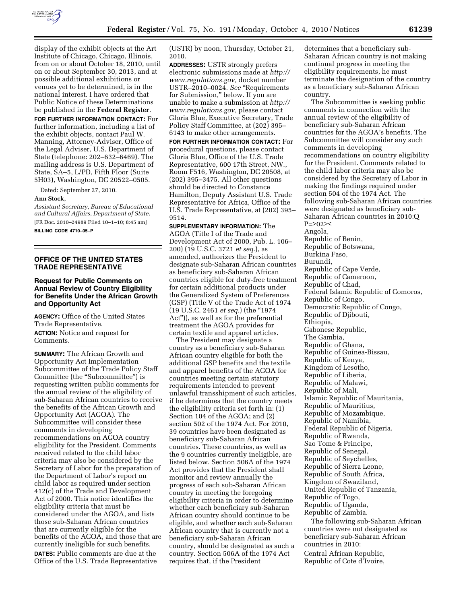

display of the exhibit objects at the Art Institute of Chicago, Chicago, Illinois, from on or about October 18, 2010, until on or about September 30, 2013, and at possible additional exhibitions or venues yet to be determined, is in the national interest. I have ordered that Public Notice of these Determinations be published in the **Federal Register**.

**FOR FURTHER INFORMATION CONTACT:** For further information, including a list of the exhibit objects, contact Paul W. Manning, Attorney-Adviser, Office of the Legal Adviser, U.S. Department of State (telephone: 202–632–6469). The mailing address is U.S. Department of State, SA–5, L/PD, Fifth Floor (Suite 5H03), Washington, DC 20522–0505.

Dated: September 27, 2010.

#### **Ann Stock,**

*Assistant Secretary, Bureau of Educational and Cultural Affairs, Department of State.*  [FR Doc. 2010–24989 Filed 10–1–10; 8:45 am]

**BILLING CODE 4710–05–P** 

# **OFFICE OF THE UNITED STATES TRADE REPRESENTATIVE**

## **Request for Public Comments on Annual Review of Country Eligibility for Benefits Under the African Growth and Opportunity Act**

**AGENCY:** Office of the United States Trade Representative.

**ACTION:** Notice and request for Comments.

**SUMMARY:** The African Growth and Opportunity Act Implementation Subcommittee of the Trade Policy Staff Committee (the "Subcommittee") is requesting written public comments for the annual review of the eligibility of sub-Saharan African countries to receive the benefits of the African Growth and Opportunity Act (AGOA). The Subcommittee will consider these comments in developing recommendations on AGOA country eligibility for the President. Comments received related to the child labor criteria may also be considered by the Secretary of Labor for the preparation of the Department of Labor's report on child labor as required under section 412(c) of the Trade and Development Act of 2000. This notice identifies the eligibility criteria that must be considered under the AGOA, and lists those sub-Saharan African countries that are currently eligible for the benefits of the AGOA, and those that are currently ineligible for such benefits. **DATES:** Public comments are due at the Office of the U.S. Trade Representative

(USTR) by noon, Thursday, October 21, 2010.

**ADDRESSES:** USTR strongly prefers electronic submissions made at *[http://](http://www.regulations.gov) [www.regulations.gov,](http://www.regulations.gov)* docket number USTR–2010–0024. *See* ''Requirements for Submission,'' below. If you are unable to make a submission at *[http://](http://www.regulations.gov) [www.regulations.gov,](http://www.regulations.gov)* please contact Gloria Blue, Executive Secretary, Trade Policy Staff Committee, at (202) 395– 6143 to make other arrangements. **FOR FURTHER INFORMATION CONTACT:** For procedural questions, please contact Gloria Blue, Office of the U.S. Trade Representative, 600 17th Street, NW., Room F516, Washington, DC 20508, at (202) 395–3475. All other questions should be directed to Constance Hamilton, Deputy Assistant U.S. Trade Representative for Africa, Office of the U.S. Trade Representative, at (202) 395– 9514.

**SUPPLEMENTARY INFORMATION:** The AGOA (Title I of the Trade and Development Act of 2000, Pub. L. 106– 200) (19 U.S.C. 3721 *et seq.*), as amended, authorizes the President to designate sub-Saharan African countries as beneficiary sub-Saharan African countries eligible for duty-free treatment for certain additional products under the Generalized System of Preferences (GSP) (Title V of the Trade Act of 1974 (19 U.S.C. 2461 *et seq.*) (the ''1974 Act'')), as well as for the preferential treatment the AGOA provides for certain textile and apparel articles.

The President may designate a country as a beneficiary sub-Saharan African country eligible for both the additional GSP benefits and the textile and apparel benefits of the AGOA for countries meeting certain statutory requirements intended to prevent unlawful transshipment of such articles, if he determines that the country meets the eligibility criteria set forth in: (1) Section 104 of the AGOA; and (2) section 502 of the 1974 Act. For 2010, 39 countries have been designated as beneficiary sub-Saharan African countries. These countries, as well as the 9 countries currently ineligible, are listed below. Section 506A of the 1974 Act provides that the President shall monitor and review annually the progress of each sub-Saharan African country in meeting the foregoing eligibility criteria in order to determine whether each beneficiary sub-Saharan African country should continue to be eligible, and whether each sub-Saharan African country that is currently not a beneficiary sub-Saharan African country, should be designated as such a country. Section 506A of the 1974 Act requires that, if the President

determines that a beneficiary sub-Saharan African country is not making continual progress in meeting the eligibility requirements, he must terminate the designation of the country as a beneficiary sub-Saharan African country.

The Subcommittee is seeking public comments in connection with the annual review of the eligibility of beneficiary sub-Saharan African countries for the AGOA's benefits. The Subcommittee will consider any such comments in developing recommendations on country eligibility for the President. Comments related to the child labor criteria may also be considered by the Secretary of Labor in making the findings required under section 504 of the 1974 Act. The following sub-Saharan African countries were designated as beneficiary sub-Saharan African countries in 2010:Q P=≥02≥≤ Angola, Republic of Benin, Republic of Botswana, Burkina Faso, Burundi, Republic of Cape Verde, Republic of Cameroon, Republic of Chad, Federal Islamic Republic of Comoros, Republic of Congo, Democratic Republic of Congo, Republic of Djibouti, Ethiopia, Gabonese Republic, The Gambia, Republic of Ghana, Republic of Guinea-Bissau, Republic of Kenya, Kingdom of Lesotho, Republic of Liberia, Republic of Malawi, Republic of Mali, Islamic Republic of Mauritania, Republic of Mauritius, Republic of Mozambique, Republic of Namibia, Federal Republic of Nigeria, Republic of Rwanda, Sao Tome & Principe, Republic of Senegal, Republic of Seychelles, Republic of Sierra Leone, Republic of South Africa, Kingdom of Swaziland, United Republic of Tanzania, Republic of Togo, Republic of Uganda, Republic of Zambia.

The following sub-Saharan African countries were not designated as beneficiary sub-Saharan African countries in 2010: Central African Republic, Republic of Cote d'Ivoire,